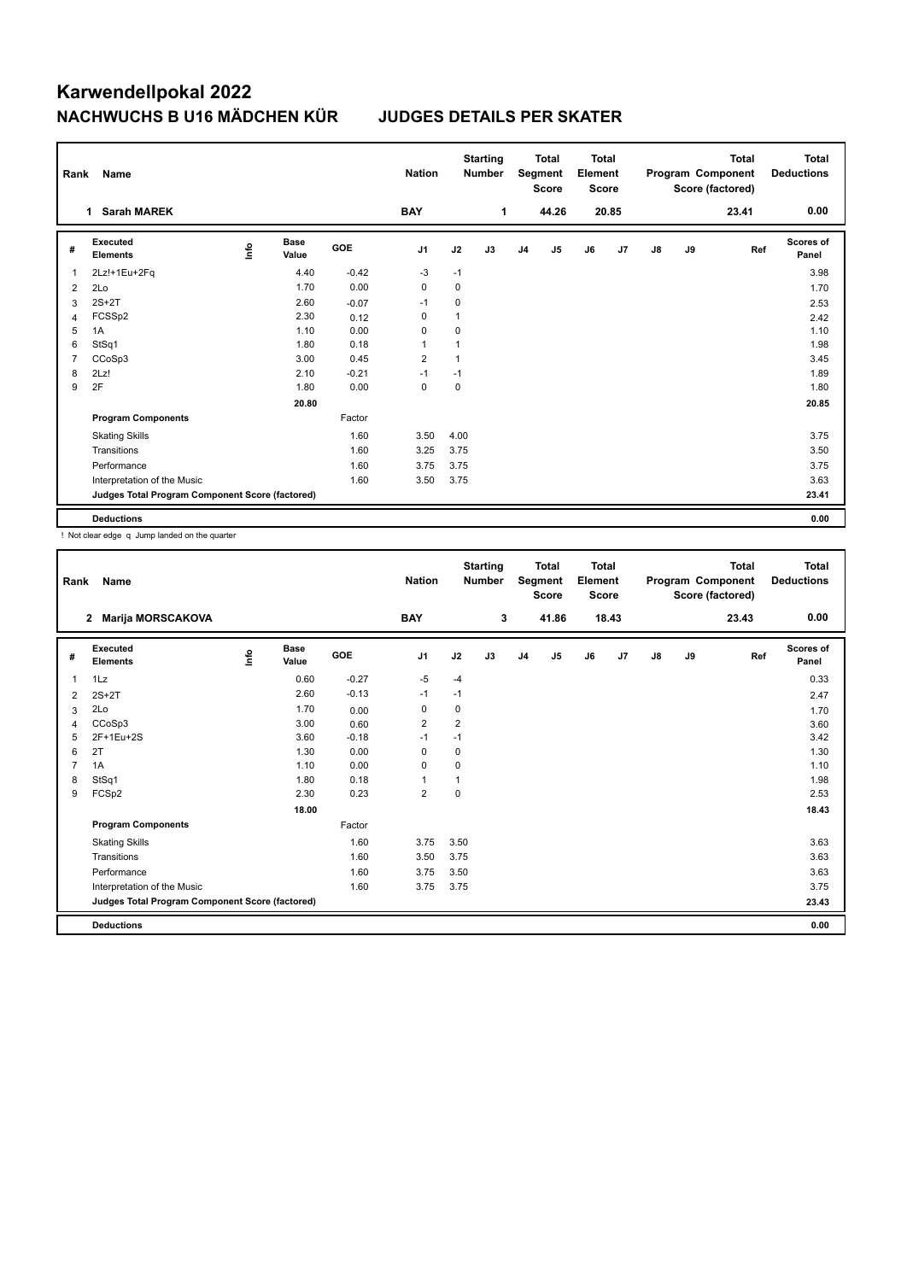# **Karwendellpokal 2022 NACHWUCHS B U16 MÄDCHEN KÜR JUDGES DETAILS PER SKATER**

| Rank | Name                                            |      |                      |            | <b>Nation</b>  |           | <b>Starting</b><br><b>Number</b> |                | <b>Total</b><br>Segment<br><b>Score</b> | <b>Total</b><br>Element<br><b>Score</b> |       |    |    | <b>Total</b><br>Program Component<br>Score (factored) | <b>Total</b><br><b>Deductions</b> |
|------|-------------------------------------------------|------|----------------------|------------|----------------|-----------|----------------------------------|----------------|-----------------------------------------|-----------------------------------------|-------|----|----|-------------------------------------------------------|-----------------------------------|
|      | <b>Sarah MAREK</b><br>1                         |      |                      |            | <b>BAY</b>     |           | 1                                |                | 44.26                                   |                                         | 20.85 |    |    | 23.41                                                 | 0.00                              |
| #    | Executed<br><b>Elements</b>                     | lnfo | <b>Base</b><br>Value | <b>GOE</b> | J <sub>1</sub> | J2        | J3                               | J <sub>4</sub> | J <sub>5</sub>                          | J6                                      | J7    | J8 | J9 | Ref                                                   | Scores of<br>Panel                |
| 1    | 2Lz!+1Eu+2Fq                                    |      | 4.40                 | $-0.42$    | $-3$           | $-1$      |                                  |                |                                         |                                         |       |    |    |                                                       | 3.98                              |
| 2    | 2Lo                                             |      | 1.70                 | 0.00       | 0              | 0         |                                  |                |                                         |                                         |       |    |    |                                                       | 1.70                              |
| 3    | $2S+2T$                                         |      | 2.60                 | $-0.07$    | $-1$           | 0         |                                  |                |                                         |                                         |       |    |    |                                                       | 2.53                              |
| 4    | FCSSp2                                          |      | 2.30                 | 0.12       | 0              | 1         |                                  |                |                                         |                                         |       |    |    |                                                       | 2.42                              |
| 5    | 1A                                              |      | 1.10                 | 0.00       | 0              | 0         |                                  |                |                                         |                                         |       |    |    |                                                       | 1.10                              |
| 6    | StSq1                                           |      | 1.80                 | 0.18       | 1              | 1         |                                  |                |                                         |                                         |       |    |    |                                                       | 1.98                              |
| 7    | CCoSp3                                          |      | 3.00                 | 0.45       | $\overline{2}$ | 1         |                                  |                |                                         |                                         |       |    |    |                                                       | 3.45                              |
| 8    | 2Lz!                                            |      | 2.10                 | $-0.21$    | $-1$           | $-1$      |                                  |                |                                         |                                         |       |    |    |                                                       | 1.89                              |
| 9    | 2F                                              |      | 1.80                 | 0.00       | $\mathbf 0$    | $\pmb{0}$ |                                  |                |                                         |                                         |       |    |    |                                                       | 1.80                              |
|      |                                                 |      | 20.80                |            |                |           |                                  |                |                                         |                                         |       |    |    |                                                       | 20.85                             |
|      | <b>Program Components</b>                       |      |                      | Factor     |                |           |                                  |                |                                         |                                         |       |    |    |                                                       |                                   |
|      | <b>Skating Skills</b>                           |      |                      | 1.60       | 3.50           | 4.00      |                                  |                |                                         |                                         |       |    |    |                                                       | 3.75                              |
|      | Transitions                                     |      |                      | 1.60       | 3.25           | 3.75      |                                  |                |                                         |                                         |       |    |    |                                                       | 3.50                              |
|      | Performance                                     |      |                      | 1.60       | 3.75           | 3.75      |                                  |                |                                         |                                         |       |    |    |                                                       | 3.75                              |
|      | Interpretation of the Music                     |      |                      | 1.60       | 3.50           | 3.75      |                                  |                |                                         |                                         |       |    |    |                                                       | 3.63                              |
|      | Judges Total Program Component Score (factored) |      |                      |            |                |           |                                  |                |                                         |                                         |       |    |    |                                                       | 23.41                             |
|      | <b>Deductions</b>                               |      |                      |            |                |           |                                  |                |                                         |                                         |       |    |    |                                                       | 0.00                              |

! Not clear edge q Jump landed on the quarter

| Rank | <b>Name</b>                                     |    |                      |         | <b>Nation</b>  |                | <b>Starting</b><br><b>Number</b> |                | <b>Total</b><br>Segment<br><b>Score</b> | <b>Total</b><br>Element<br><b>Score</b> |       |               |    | <b>Total</b><br>Program Component<br>Score (factored) | <b>Total</b><br><b>Deductions</b> |
|------|-------------------------------------------------|----|----------------------|---------|----------------|----------------|----------------------------------|----------------|-----------------------------------------|-----------------------------------------|-------|---------------|----|-------------------------------------------------------|-----------------------------------|
|      | <b>Marija MORSCAKOVA</b><br>$\mathbf{2}$        |    |                      |         | <b>BAY</b>     |                | 3                                |                | 41.86                                   |                                         | 18.43 |               |    | 23.43                                                 | 0.00                              |
| #    | Executed<br><b>Elements</b>                     | ۴ů | <b>Base</b><br>Value | GOE     | J1             | J2             | J3                               | J <sub>4</sub> | J5                                      | J6                                      | J7    | $\mathsf{J}8$ | J9 | Ref                                                   | <b>Scores of</b><br>Panel         |
| 1    | 1Lz                                             |    | 0.60                 | $-0.27$ | -5             | $-4$           |                                  |                |                                         |                                         |       |               |    |                                                       | 0.33                              |
| 2    | $2S+2T$                                         |    | 2.60                 | $-0.13$ | $-1$           | $-1$           |                                  |                |                                         |                                         |       |               |    |                                                       | 2.47                              |
| 3    | 2Lo                                             |    | 1.70                 | 0.00    | 0              | 0              |                                  |                |                                         |                                         |       |               |    |                                                       | 1.70                              |
| 4    | CCoSp3                                          |    | 3.00                 | 0.60    | $\overline{2}$ | $\overline{2}$ |                                  |                |                                         |                                         |       |               |    |                                                       | 3.60                              |
| 5    | 2F+1Eu+2S                                       |    | 3.60                 | $-0.18$ | $-1$           | $-1$           |                                  |                |                                         |                                         |       |               |    |                                                       | 3.42                              |
| 6    | 2T                                              |    | 1.30                 | 0.00    | $\mathbf 0$    | 0              |                                  |                |                                         |                                         |       |               |    |                                                       | 1.30                              |
| 7    | 1A                                              |    | 1.10                 | 0.00    | 0              | 0              |                                  |                |                                         |                                         |       |               |    |                                                       | 1.10                              |
| 8    | StSq1                                           |    | 1.80                 | 0.18    | $\mathbf{1}$   | 1              |                                  |                |                                         |                                         |       |               |    |                                                       | 1.98                              |
| 9    | FCSp2                                           |    | 2.30                 | 0.23    | $\overline{2}$ | $\mathbf 0$    |                                  |                |                                         |                                         |       |               |    |                                                       | 2.53                              |
|      |                                                 |    | 18.00                |         |                |                |                                  |                |                                         |                                         |       |               |    |                                                       | 18.43                             |
|      | <b>Program Components</b>                       |    |                      | Factor  |                |                |                                  |                |                                         |                                         |       |               |    |                                                       |                                   |
|      | <b>Skating Skills</b>                           |    |                      | 1.60    | 3.75           | 3.50           |                                  |                |                                         |                                         |       |               |    |                                                       | 3.63                              |
|      | Transitions                                     |    |                      | 1.60    | 3.50           | 3.75           |                                  |                |                                         |                                         |       |               |    |                                                       | 3.63                              |
|      | Performance                                     |    |                      | 1.60    | 3.75           | 3.50           |                                  |                |                                         |                                         |       |               |    |                                                       | 3.63                              |
|      | Interpretation of the Music                     |    |                      | 1.60    | 3.75           | 3.75           |                                  |                |                                         |                                         |       |               |    |                                                       | 3.75                              |
|      | Judges Total Program Component Score (factored) |    |                      |         |                |                |                                  |                |                                         |                                         |       |               |    |                                                       | 23.43                             |
|      | <b>Deductions</b>                               |    |                      |         |                |                |                                  |                |                                         |                                         |       |               |    |                                                       | 0.00                              |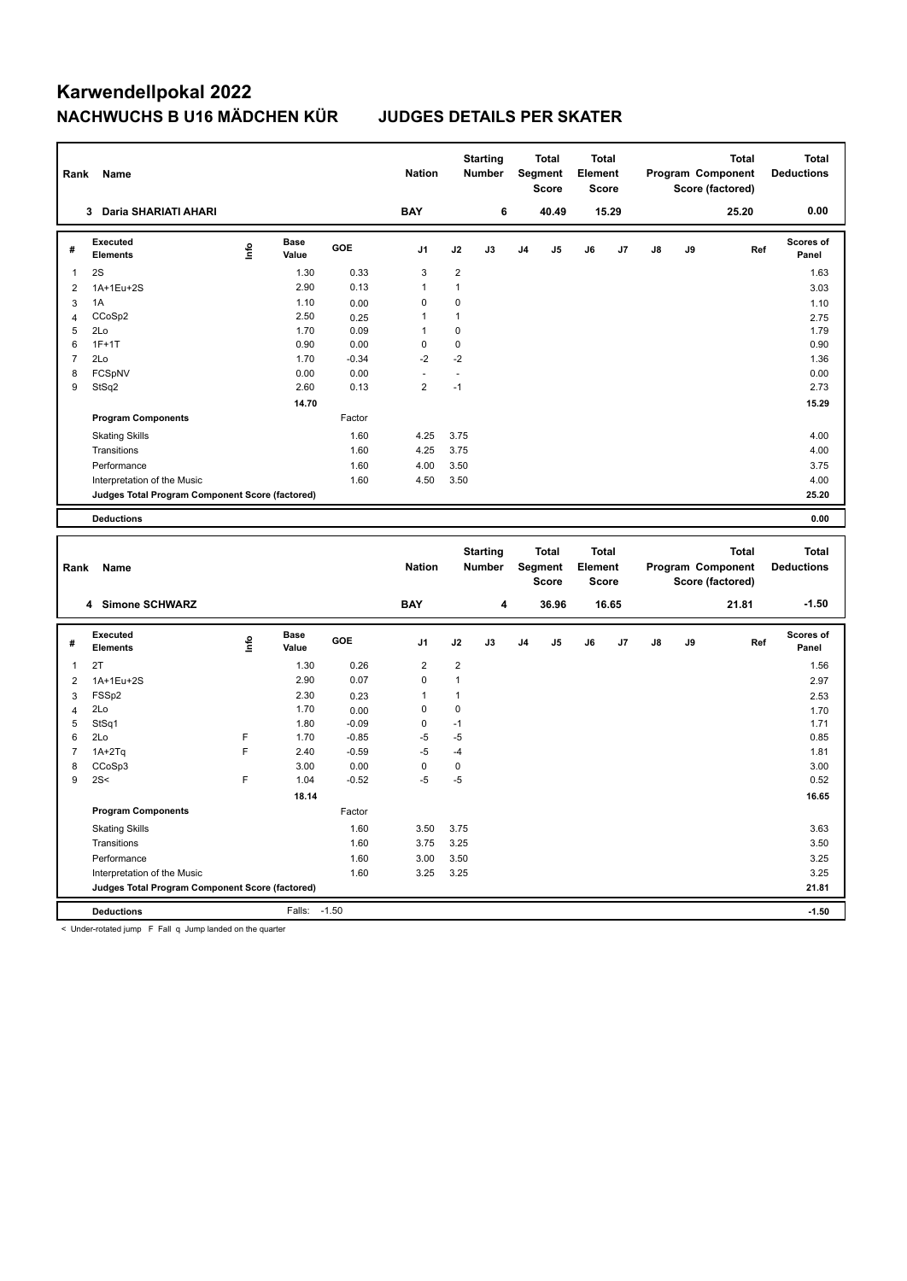# **Karwendellpokal 2022 NACHWUCHS B U16 MÄDCHEN KÜR JUDGES DETAILS PER SKATER**

| Rank           | Name                                            |      |                      |         | <b>Nation</b>  |                | <b>Starting</b><br><b>Number</b> |    | <b>Total</b><br>Segment<br><b>Score</b> | <b>Total</b><br>Element<br><b>Score</b> |       |               |    | <b>Total</b><br>Program Component<br>Score (factored) | <b>Total</b><br><b>Deductions</b> |
|----------------|-------------------------------------------------|------|----------------------|---------|----------------|----------------|----------------------------------|----|-----------------------------------------|-----------------------------------------|-------|---------------|----|-------------------------------------------------------|-----------------------------------|
|                | 3 Daria SHARIATI AHARI                          |      |                      |         | <b>BAY</b>     |                | 6                                |    | 40.49                                   |                                         | 15.29 |               |    | 25.20                                                 | 0.00                              |
| #              | <b>Executed</b><br><b>Elements</b>              | Info | <b>Base</b><br>Value | GOE     | J <sub>1</sub> | J2             | J3                               | J4 | J5                                      | J6                                      | J7    | $\mathsf{J}8$ | J9 | Ref                                                   | Scores of<br>Panel                |
| $\mathbf{1}$   | 2S                                              |      | 1.30                 | 0.33    | 3              | $\overline{2}$ |                                  |    |                                         |                                         |       |               |    |                                                       | 1.63                              |
| $\overline{2}$ | 1A+1Eu+2S                                       |      | 2.90                 | 0.13    | 1              | $\mathbf{1}$   |                                  |    |                                         |                                         |       |               |    |                                                       | 3.03                              |
| $\mathbf{3}$   | 1A                                              |      | 1.10                 | 0.00    | $\mathbf 0$    | $\mathbf 0$    |                                  |    |                                         |                                         |       |               |    |                                                       | 1.10                              |
| $\overline{4}$ | CCoSp2                                          |      | 2.50                 | 0.25    | 1              | $\mathbf{1}$   |                                  |    |                                         |                                         |       |               |    |                                                       | 2.75                              |
| 5              | 2Lo                                             |      | 1.70                 | 0.09    | $\mathbf{1}$   | 0              |                                  |    |                                         |                                         |       |               |    |                                                       | 1.79                              |
| 6              | $1F+1T$                                         |      | 0.90                 | 0.00    | $\mathbf 0$    | $\pmb{0}$      |                                  |    |                                         |                                         |       |               |    |                                                       | 0.90                              |
| $\overline{7}$ | 2Lo                                             |      | 1.70                 | $-0.34$ | $-2$           | $-2$           |                                  |    |                                         |                                         |       |               |    |                                                       | 1.36                              |
| 8              | FCSpNV                                          |      | 0.00                 | 0.00    | ä,             | ä,             |                                  |    |                                         |                                         |       |               |    |                                                       | 0.00                              |
| 9              | StSq2                                           |      | 2.60                 | 0.13    | $\overline{2}$ | $-1$           |                                  |    |                                         |                                         |       |               |    |                                                       | 2.73                              |
|                |                                                 |      | 14.70                |         |                |                |                                  |    |                                         |                                         |       |               |    |                                                       | 15.29                             |
|                | <b>Program Components</b>                       |      |                      | Factor  |                |                |                                  |    |                                         |                                         |       |               |    |                                                       |                                   |
|                | <b>Skating Skills</b>                           |      |                      | 1.60    | 4.25           | 3.75           |                                  |    |                                         |                                         |       |               |    |                                                       | 4.00                              |
|                | Transitions                                     |      |                      | 1.60    | 4.25           | 3.75           |                                  |    |                                         |                                         |       |               |    |                                                       | 4.00                              |
|                | Performance                                     |      |                      | 1.60    | 4.00           | 3.50           |                                  |    |                                         |                                         |       |               |    |                                                       | 3.75                              |
|                | Interpretation of the Music                     |      |                      | 1.60    | 4.50           | 3.50           |                                  |    |                                         |                                         |       |               |    |                                                       | 4.00                              |
|                | Judges Total Program Component Score (factored) |      |                      |         |                |                |                                  |    |                                         |                                         |       |               |    |                                                       | 25.20                             |
|                | <b>Deductions</b>                               |      |                      |         |                |                |                                  |    |                                         |                                         |       |               |    |                                                       | 0.00                              |
|                |                                                 |      |                      |         |                |                |                                  |    |                                         |                                         |       |               |    |                                                       |                                   |
|                |                                                 |      |                      |         |                |                |                                  |    |                                         |                                         |       |               |    |                                                       |                                   |
| Rank           | Name                                            |      |                      |         | <b>Nation</b>  |                | <b>Starting</b><br>Number        |    | <b>Total</b><br>Segment<br><b>Score</b> | <b>Total</b><br>Element<br><b>Score</b> |       |               |    | <b>Total</b><br>Program Component<br>Score (factored) | <b>Total</b><br><b>Deductions</b> |
|                | 4 Simone SCHWARZ                                |      |                      |         | <b>BAY</b>     |                | 4                                |    | 36.96                                   |                                         | 16.65 |               |    | 21.81                                                 | $-1.50$                           |
| #              | <b>Executed</b><br>Elements                     | lnfo | <b>Base</b><br>Value | GOE     | J <sub>1</sub> | J2             | J3                               | J4 | J5                                      | J6                                      | J7    | J8            | J9 | Ref                                                   | Scores of<br>Panel                |
| $\mathbf{1}$   | 2T                                              |      | 1.30                 | 0.26    | $\overline{c}$ | 2              |                                  |    |                                         |                                         |       |               |    |                                                       | 1.56                              |
| $\overline{2}$ | 1A+1Eu+2S                                       |      | 2.90                 | 0.07    | $\mathbf 0$    | $\mathbf{1}$   |                                  |    |                                         |                                         |       |               |    |                                                       | 2.97                              |
| 3              | FSSp2                                           |      | 2.30                 | 0.23    | $\mathbf{1}$   | $\mathbf{1}$   |                                  |    |                                         |                                         |       |               |    |                                                       | 2.53                              |
| $\overline{4}$ | 2Lo                                             |      | 1.70                 | 0.00    | $\mathbf 0$    | $\mathbf 0$    |                                  |    |                                         |                                         |       |               |    |                                                       | 1.70                              |
| 5              | StSq1                                           |      | 1.80                 | $-0.09$ | $\mathbf 0$    | $-1$           |                                  |    |                                         |                                         |       |               |    |                                                       | 1.71                              |
| 6              | 2Lo                                             | F    | 1.70                 | $-0.85$ | $-5$           | $-5$           |                                  |    |                                         |                                         |       |               |    |                                                       | 0.85                              |
| $\overline{7}$ | $1A+2Tq$                                        | F    | 2.40                 | $-0.59$ | $-5$           | $-4$           |                                  |    |                                         |                                         |       |               |    |                                                       | 1.81                              |
| 8              | CCoSp3                                          |      | 3.00                 | 0.00    | $\mathbf 0$    | $\pmb{0}$      |                                  |    |                                         |                                         |       |               |    |                                                       | 3.00                              |
| 9              | 2S<                                             | F    | 1.04                 | $-0.52$ | $-5$           | $-5$           |                                  |    |                                         |                                         |       |               |    |                                                       | 0.52                              |
|                |                                                 |      | 18.14                |         |                |                |                                  |    |                                         |                                         |       |               |    |                                                       | 16.65                             |
|                | <b>Program Components</b>                       |      |                      | Factor  |                |                |                                  |    |                                         |                                         |       |               |    |                                                       |                                   |
|                | <b>Skating Skills</b>                           |      |                      | 1.60    | 3.50           | 3.75           |                                  |    |                                         |                                         |       |               |    |                                                       | 3.63                              |
|                | Transitions                                     |      |                      | 1.60    | 3.75           | 3.25           |                                  |    |                                         |                                         |       |               |    |                                                       | 3.50                              |
|                | Performance                                     |      |                      | 1.60    | 3.00           | 3.50           |                                  |    |                                         |                                         |       |               |    |                                                       | 3.25                              |
|                | Interpretation of the Music                     |      |                      | 1.60    | 3.25           | 3.25           |                                  |    |                                         |                                         |       |               |    |                                                       | 3.25                              |
|                | Judges Total Program Component Score (factored) |      |                      |         |                |                |                                  |    |                                         |                                         |       |               |    |                                                       | 21.81                             |

< Under-rotated jump F Fall q Jump landed on the quarter